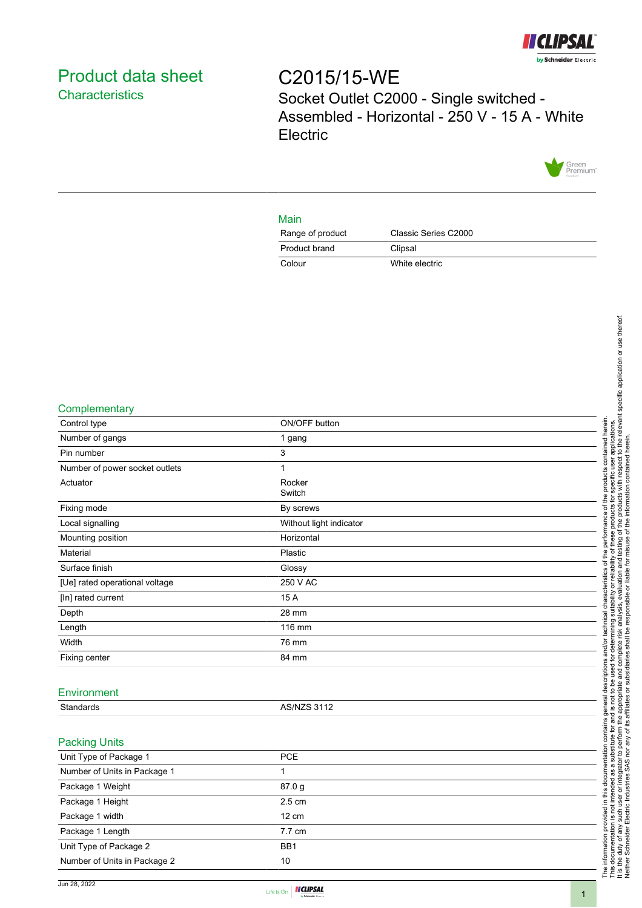

## <span id="page-0-0"></span>Product data sheet **Characteristics**

# C2015/15-WE Socket Outlet C2000 - Single switched - Assembled - Horizontal - 250 V - 15 A - White **Electric**



#### Main

| Range of product | Classic Series C2000 |
|------------------|----------------------|
| Product brand    | Clipsal              |
| Colour           | White electric       |

#### **Complementary**

| Control type                   | ON/OFF button           |
|--------------------------------|-------------------------|
| Number of gangs                | 1 gang                  |
| Pin number                     | 3                       |
| Number of power socket outlets | $\mathbf{1}$            |
| Actuator                       | Rocker<br>Switch        |
| Fixing mode                    | By screws               |
| Local signalling               | Without light indicator |
| Mounting position              | Horizontal              |
| Material                       | Plastic                 |
| Surface finish                 | Glossy                  |
| [Ue] rated operational voltage | 250 V AC                |
| [In] rated current             | 15 A                    |
| Depth                          | 28 mm                   |
| Length                         | 116 mm                  |
| Width                          | 76 mm                   |
| Fixing center                  | 84 mm                   |
|                                |                         |
| Environment                    |                         |
| Standards                      | <b>AS/NZS 3112</b>      |
|                                |                         |
| <b>Packing Units</b>           |                         |
| Unit Type of Package 1         | PCE                     |
| Number of Units in Package 1   | $\mathbf{1}$            |
| Package 1 Weight               | 87.0 g                  |
| Package 1 Height               | 2.5 cm                  |
| Package 1 width                | 12 cm                   |
| Package 1 Length               | 7.7 cm                  |
| Unit Type of Package 2         | BB1                     |
| Number of Units in Package 2   | 10<br>Ĕ                 |